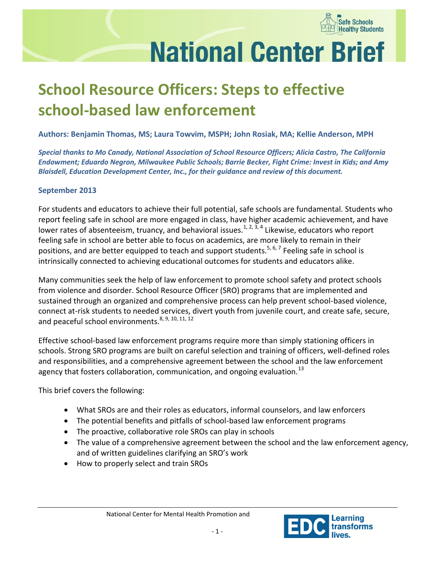

# **National Center Brief**

# **School Resource Officers: Steps to effective school-based law enforcement**

**Authors: Benjamin Thomas, MS; Laura Towvim, MSPH; John Rosiak, MA; Kellie Anderson, MPH**

*Special thanks to Mo Canady, National Association of School Resource Officers; Alicia Castro, The California Endowment; Eduardo Negron, Milwaukee Public Schools; Barrie Becker, Fight Crime: Invest in Kids; and Amy Blaisdell, Education Development Center, Inc., for their guidance and review of this document.*

#### **September 2013**

For students and educators to achieve their full potential, safe schools are fundamental. Students who report feeling safe in school are more engaged in class, have higher academic achievement, and have lower rates of absenteeism, truancy, and behavioral issues.<sup>1, 2, 3, 4</sup> Likewise, educators who report feeling safe in school are better able to focus on academics, are more likely to remain in their positions, and are better equipped to teach and support students.<sup>5, 6, 7</sup> Feeling safe in school is intrinsically connected to achieving educational outcomes for students and educators alike.

Many communities seek the help of law enforcement to promote school safety and protect schools from violence and disorder. School Resource Officer (SRO) programs that are implemented and sustained through an organized and comprehensive process can help prevent school-based violence, connect at-risk students to needed services, divert youth from juvenile court, and create safe, secure, and peaceful school environments.<sup>8, 9, 10, 11, 12</sup>

Effective school-based law enforcement programs require more than simply stationing officers in schools. Strong SRO programs are built on careful selection and training of officers, well-defined roles and responsibilities, and a comprehensive agreement between the school and the law enforcement agency that fosters collaboration, communication, and ongoing evaluation.<sup>13</sup>

This brief covers the following:

- What SROs are and their roles as educators, informal counselors, and law enforcers
- The potential benefits and pitfalls of school-based law enforcement programs
- The proactive, collaborative role SROs can play in schools
- The value of a comprehensive agreement between the school and the law enforcement agency, and of written guidelines clarifying an SRO's work
- How to properly select and train SROs

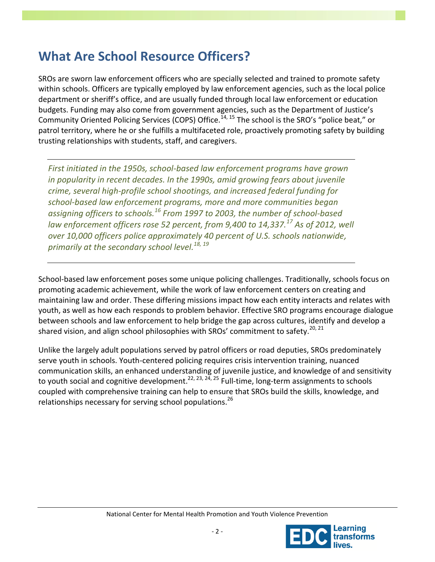### **What Are School Resource Officers?**

SROs are sworn law enforcement officers who are specially selected and trained to promote safety within schools. Officers are typically employed by law enforcement agencies, such as the local police department or sheriff's office, and are usually funded through local law enforcement or education budgets. Funding may also come from government agencies, such as the Department of Justice's Community Oriented Policing Services (COPS) Office.<sup>14, 15</sup> The school is the SRO's "police beat," or patrol territory, where he or she fulfills a multifaceted role, proactively promoting safety by building trusting relationships with students, staff, and caregivers.

*First initiated in the 1950s, school-based law enforcement programs have grown in popularity in recent decades. In the 1990s, amid growing fears about juvenile crime, several high-profile school shootings, and increased federal funding for school-based law enforcement programs, more and more communities began assigning officers to schools.<sup>16</sup> From 1997 to 2003, the number of school-based law enforcement officers rose 52 percent, from 9,400 to 14,337.<sup>17</sup> As of 2012, well over 10,000 officers police approximately 40 percent of U.S. schools nationwide, primarily at the secondary school level. 18, 19*

School-based law enforcement poses some unique policing challenges. Traditionally, schools focus on promoting academic achievement, while the work of law enforcement centers on creating and maintaining law and order. These differing missions impact how each entity interacts and relates with youth, as well as how each responds to problem behavior. Effective SRO programs encourage dialogue between schools and law enforcement to help bridge the gap across cultures, identify and develop a shared vision, and align school philosophies with SROs' commitment to safety.<sup>20, 21</sup>

Unlike the largely adult populations served by patrol officers or road deputies, SROs predominately serve youth in schools. Youth-centered policing requires crisis intervention training, nuanced communication skills, an enhanced understanding of juvenile justice, and knowledge of and sensitivity to youth social and cognitive development.<sup>22, 23, 24, 25</sup> Full-time, long-term assignments to schools coupled with comprehensive training can help to ensure that SROs build the skills, knowledge, and relationships necessary for serving school populations.<sup>26</sup>

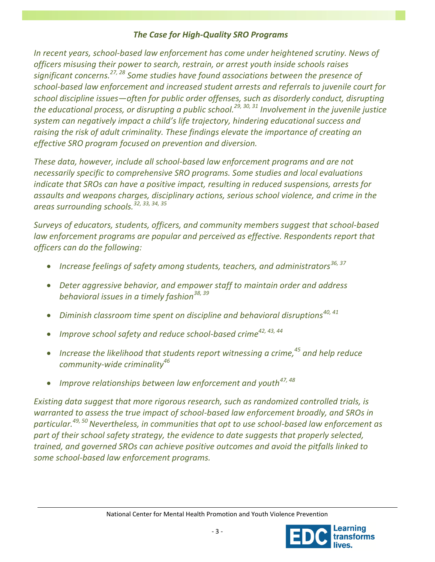#### *The Case for High-Quality SRO Programs*

*In recent years, school-based law enforcement has come under heightened scrutiny. News of officers misusing their power to search, restrain, or arrest youth inside schools raises significant concerns.27, 28 Some studies have found associations between the presence of school-based law enforcement and increased student arrests and referrals to juvenile court for school discipline issues—often for public order offenses, such as disorderly conduct, disrupting the educational process, or disrupting a public school. 29, 30, 31 Involvement in the juvenile justice system can negatively impact a child's life trajectory, hindering educational success and raising the risk of adult criminality. These findings elevate the importance of creating an effective SRO program focused on prevention and diversion.*

*These data, however, include all school-based law enforcement programs and are not necessarily specific to comprehensive SRO programs. Some studies and local evaluations indicate that SROs can have a positive impact, resulting in reduced suspensions, arrests for assaults and weapons charges, disciplinary actions, serious school violence, and crime in the areas surrounding schools.32, 33, 34, 35*

*Surveys of educators, students, officers, and community members suggest that school-based*  law enforcement programs are popular and perceived as effective. Respondents report that *officers can do the following:*

- *Increase feelings of safety among students, teachers, and administrators36, 37*
- *Deter aggressive behavior, and empower staff to maintain order and address behavioral issues in a timely fashion38, 39*
- *Diminish classroom time spent on discipline and behavioral disruptions40, 41*
- *Improve school safety and reduce school-based crime42, 43, 44*
- *Increase the likelihood that students report witnessing a crime,<sup>45</sup> and help reduce community-wide criminality<sup>46</sup>*
- *Improve relationships between law enforcement and youth47, 48*

*Existing data suggest that more rigorous research, such as randomized controlled trials, is warranted to assess the true impact of school-based law enforcement broadly, and SROs in particular.49, 50Nevertheless, in communities that opt to use school-based law enforcement as part of their school safety strategy, the evidence to date suggests that properly selected, trained, and governed SROs can achieve positive outcomes and avoid the pitfalls linked to some school-based law enforcement programs.* 

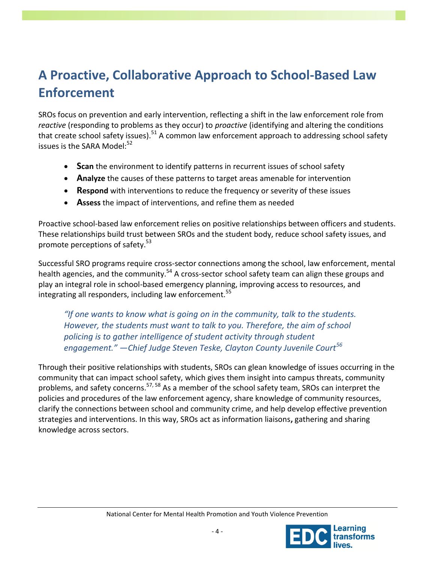# **A Proactive, Collaborative Approach to School-Based Law Enforcement**

SROs focus on prevention and early intervention, reflecting a shift in the law enforcement role from *reactive* (responding to problems as they occur) to *proactive* (identifying and altering the conditions that create school safety issues). $51$  A common law enforcement approach to addressing school safety issues is the SARA Model:<sup>52</sup>

- **Scan** the environment to identify patterns in recurrent issues of school safety
- **Analyze** the causes of these patterns to target areas amenable for intervention
- **Respond** with interventions to reduce the frequency or severity of these issues
- **Assess** the impact of interventions, and refine them as needed

Proactive school-based law enforcement relies on positive relationships between officers and students. These relationships build trust between SROs and the student body, reduce school safety issues, and promote perceptions of safety.<sup>53</sup>

Successful SRO programs require cross-sector connections among the school, law enforcement, mental health agencies, and the community.<sup>54</sup> A cross-sector school safety team can align these groups and play an integral role in school-based emergency planning, improving access to resources, and integrating all responders, including law enforcement. $55$ 

*"If one wants to know what is going on in the community, talk to the students. However, the students must want to talk to you. Therefore, the aim of school policing is to gather intelligence of student activity through student engagement." —Chief Judge Steven Teske, Clayton County Juvenile Court<sup>56</sup>*

Through their positive relationships with students, SROs can glean knowledge of issues occurring in the community that can impact school safety, which gives them insight into campus threats, community problems, and safety concerns.<sup>57, 58</sup> As a member of the school safety team, SROs can interpret the policies and procedures of the law enforcement agency, share knowledge of community resources, clarify the connections between school and community crime, and help develop effective prevention strategies and interventions. In this way, SROs act as information liaisons**,** gathering and sharing knowledge across sectors.

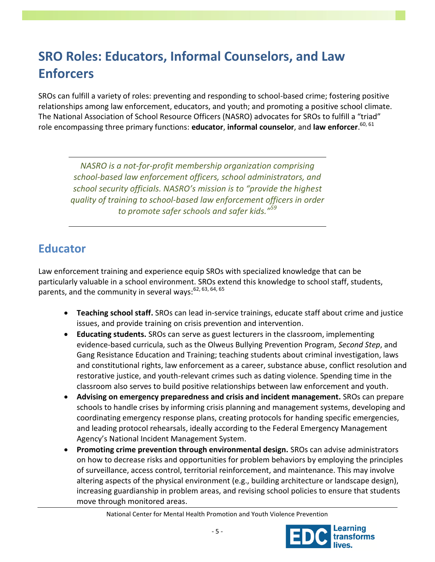# **SRO Roles: Educators, Informal Counselors, and Law Enforcers**

SROs can fulfill a variety of roles: preventing and responding to school-based crime; fostering positive relationships among law enforcement, educators, and youth; and promoting a positive school climate. The National Association of School Resource Officers (NASRO) advocates for SROs to fulfill a "triad" role encompassing three primary functions: **educator**, **informal counselor**, and **law enforcer**. 60, 61

*NASRO is a not-for-profit membership organization comprising school-based law enforcement officers, school administrators, and school security officials. NASRO's mission is to "provide the highest quality of training to school-based law enforcement officers in order to promote safer schools and safer kids."<sup>59</sup>*

### **Educator**

Law enforcement training and experience equip SROs with specialized knowledge that can be particularly valuable in a school environment. SROs extend this knowledge to school staff, students, parents, and the community in several ways:<sup>62, 63, 64, 65</sup>

- **Teaching school staff.** SROs can lead in-service trainings, educate staff about crime and justice issues, and provide training on crisis prevention and intervention.
- **Educating students.** SROs can serve as guest lecturers in the classroom, implementing evidence-based curricula, such as the Olweus Bullying Prevention Program, *Second Step*, and Gang Resistance Education and Training; teaching students about criminal investigation, laws and constitutional rights, law enforcement as a career, substance abuse, conflict resolution and restorative justice, and youth-relevant crimes such as dating violence. Spending time in the classroom also serves to build positive relationships between law enforcement and youth.
- **Advising on emergency preparedness and crisis and incident management.** SROs can prepare schools to handle crises by informing crisis planning and management systems, developing and coordinating emergency response plans, creating protocols for handing specific emergencies, and leading protocol rehearsals, ideally according to the Federal Emergency Management Agency's National Incident Management System.
- **Promoting crime prevention through environmental design.** SROs can advise administrators on how to decrease risks and opportunities for problem behaviors by employing the principles of surveillance, access control, territorial reinforcement, and maintenance. This may involve altering aspects of the physical environment (e.g., building architecture or landscape design), increasing guardianship in problem areas, and revising school policies to ensure that students move through monitored areas.

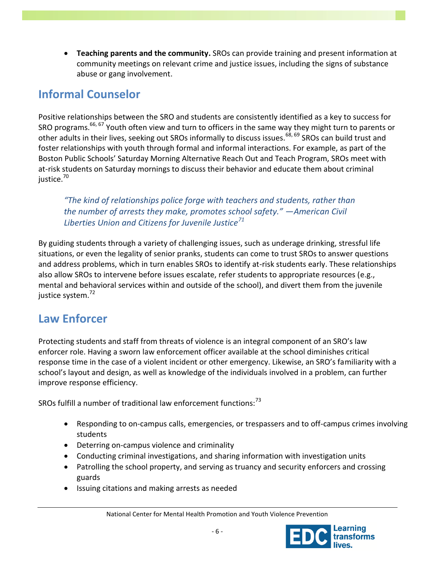**Teaching parents and the community.** SROs can provide training and present information at community meetings on relevant crime and justice issues, including the signs of substance abuse or gang involvement.

### **Informal Counselor**

Positive relationships between the SRO and students are consistently identified as a key to success for SRO programs.<sup>66, 67</sup> Youth often view and turn to officers in the same way they might turn to parents or other adults in their lives, seeking out SROs informally to discuss issues.<sup>68, 69</sup> SROs can build trust and foster relationships with youth through formal and informal interactions. For example, as part of the Boston Public Schools' Saturday Morning Alternative Reach Out and Teach Program, SROs meet with at-risk students on Saturday mornings to discuss their behavior and educate them about criminal justice.<sup>70</sup>

*"The kind of relationships police forge with teachers and students, rather than the number of arrests they make, promotes school safety." —American Civil Liberties Union and Citizens for Juvenile Justice<sup>71</sup>*

By guiding students through a variety of challenging issues, such as underage drinking, stressful life situations, or even the legality of senior pranks, students can come to trust SROs to answer questions and address problems, which in turn enables SROs to identify at-risk students early. These relationships also allow SROs to intervene before issues escalate, refer students to appropriate resources (e.g., mental and behavioral services within and outside of the school), and divert them from the juvenile justice system.<sup>72</sup>

#### **Law Enforcer**

Protecting students and staff from threats of violence is an integral component of an SRO's law enforcer role. Having a sworn law enforcement officer available at the school diminishes critical response time in the case of a violent incident or other emergency. Likewise, an SRO's familiarity with a school's layout and design, as well as knowledge of the individuals involved in a problem, can further improve response efficiency.

SROs fulfill a number of traditional law enforcement functions:<sup>73</sup>

- Responding to on-campus calls, emergencies, or trespassers and to off-campus crimes involving students
- Deterring on-campus violence and criminality
- Conducting criminal investigations, and sharing information with investigation units
- Patrolling the school property, and serving as truancy and security enforcers and crossing guards
- Issuing citations and making arrests as needed

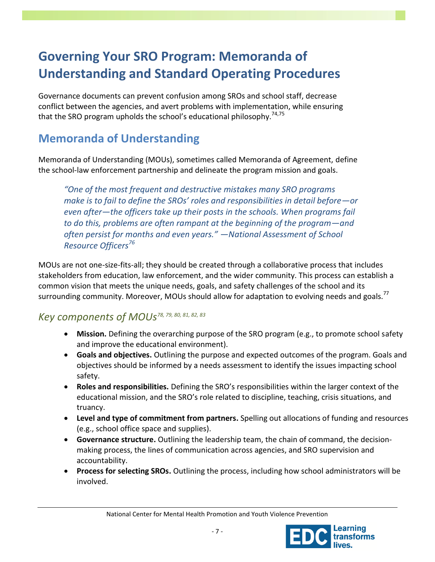# **Governing Your SRO Program: Memoranda of Understanding and Standard Operating Procedures**

Governance documents can prevent confusion among SROs and school staff, decrease conflict between the agencies, and avert problems with implementation, while ensuring that the SRO program upholds the school's educational philosophy.<sup>74,75</sup>

### **Memoranda of Understanding**

Memoranda of Understanding (MOUs), sometimes called Memoranda of Agreement, define the school-law enforcement partnership and delineate the program mission and goals.

*"One of the most frequent and destructive mistakes many SRO programs make is to fail to define the SROs' roles and responsibilities in detail before—or even after—the officers take up their posts in the schools. When programs fail to do this, problems are often rampant at the beginning of the program—and often persist for months and even years." —National Assessment of School Resource Officers<sup>76</sup>*

MOUs are not one-size-fits-all; they should be created through a collaborative process that includes stakeholders from education, law enforcement, and the wider community. This process can establish a common vision that meets the unique needs, goals, and safety challenges of the school and its surrounding community. Moreover, MOUs should allow for adaptation to evolving needs and goals.<sup>77</sup>

#### *Key components of MOUs78, 79, 80, 81, 82, 83*

- **Mission.** Defining the overarching purpose of the SRO program (e.g., to promote school safety and improve the educational environment).
- **Goals and objectives.** Outlining the purpose and expected outcomes of the program. Goals and objectives should be informed by a needs assessment to identify the issues impacting school safety.
- **Roles and responsibilities.** Defining the SRO's responsibilities within the larger context of the educational mission, and the SRO's role related to discipline, teaching, crisis situations, and truancy.
- **Level and type of commitment from partners.** Spelling out allocations of funding and resources (e.g., school office space and supplies).
- **Governance structure.** Outlining the leadership team, the chain of command, the decisionmaking process, the lines of communication across agencies, and SRO supervision and accountability.
- **Process for selecting SROs.** Outlining the process, including how school administrators will be involved.

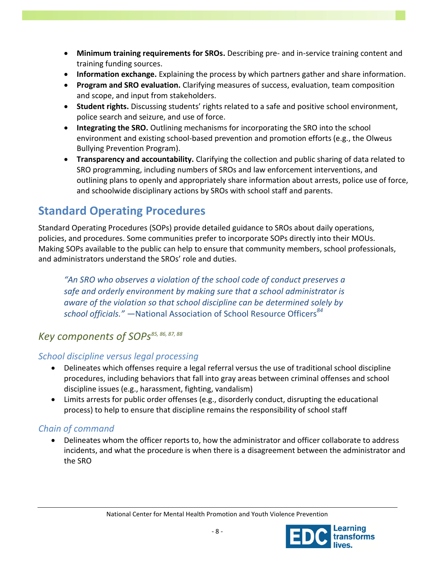- **Minimum training requirements for SROs.** Describing pre- and in-service training content and training funding sources.
- **Information exchange.** Explaining the process by which partners gather and share information.
- **Program and SRO evaluation.** Clarifying measures of success, evaluation, team composition and scope, and input from stakeholders.
- **Student rights.** Discussing students' rights related to a safe and positive school environment, police search and seizure, and use of force.
- **Integrating the SRO.** Outlining mechanisms for incorporating the SRO into the school environment and existing school-based prevention and promotion efforts (e.g., the Olweus Bullying Prevention Program).
- **Transparency and accountability.** Clarifying the collection and public sharing of data related to SRO programming, including numbers of SROs and law enforcement interventions, and outlining plans to openly and appropriately share information about arrests, police use of force, and schoolwide disciplinary actions by SROs with school staff and parents.

### **Standard Operating Procedures**

Standard Operating Procedures (SOPs) provide detailed guidance to SROs about daily operations, policies, and procedures. Some communities prefer to incorporate SOPs directly into their MOUs. Making SOPs available to the public can help to ensure that community members, school professionals, and administrators understand the SROs' role and duties.

*"An SRO who observes a violation of the school code of conduct preserves a safe and orderly environment by making sure that a school administrator is aware of the violation so that school discipline can be determined solely by school officials." —*National Association of School Resource Officers*<sup>84</sup>*

#### *Key components of SOPs85, 86, 87, 88*

#### *School discipline versus legal processing*

- Delineates which offenses require a legal referral versus the use of traditional school discipline procedures, including behaviors that fall into gray areas between criminal offenses and school discipline issues (e.g., harassment, fighting, vandalism)
- Limits arrests for public order offenses (e.g., disorderly conduct, disrupting the educational process) to help to ensure that discipline remains the responsibility of school staff

#### *Chain of command*

 Delineates whom the officer reports to, how the administrator and officer collaborate to address incidents, and what the procedure is when there is a disagreement between the administrator and the SRO

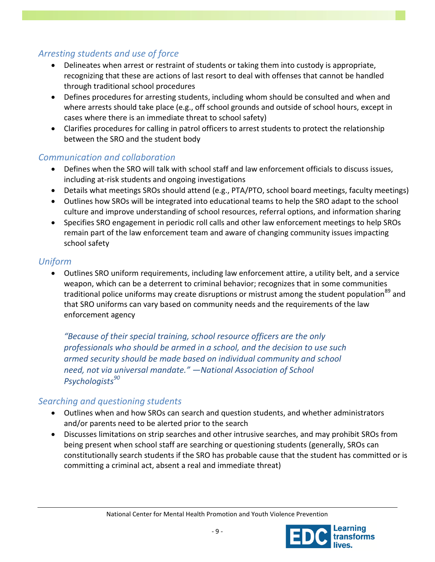#### *Arresting students and use of force*

- Delineates when arrest or restraint of students or taking them into custody is appropriate, recognizing that these are actions of last resort to deal with offenses that cannot be handled through traditional school procedures
- Defines procedures for arresting students, including whom should be consulted and when and where arrests should take place (e.g., off school grounds and outside of school hours, except in cases where there is an immediate threat to school safety)
- Clarifies procedures for calling in patrol officers to arrest students to protect the relationship between the SRO and the student body

#### *Communication and collaboration*

- Defines when the SRO will talk with school staff and law enforcement officials to discuss issues, including at-risk students and ongoing investigations
- Details what meetings SROs should attend (e.g., PTA/PTO, school board meetings, faculty meetings)
- Outlines how SROs will be integrated into educational teams to help the SRO adapt to the school culture and improve understanding of school resources, referral options, and information sharing
- Specifies SRO engagement in periodic roll calls and other law enforcement meetings to help SROs remain part of the law enforcement team and aware of changing community issues impacting school safety

#### *Uniform*

 Outlines SRO uniform requirements, including law enforcement attire, a utility belt, and a service weapon, which can be a deterrent to criminal behavior; recognizes that in some communities traditional police uniforms may create disruptions or mistrust among the student population<sup>89</sup> and that SRO uniforms can vary based on community needs and the requirements of the law enforcement agency

*"Because of their special training, school resource officers are the only professionals who should be armed in a school, and the decision to use such armed security should be made based on individual community and school need, not via universal mandate." —National Association of School Psychologists<sup>90</sup>*

#### *Searching and questioning students*

- Outlines when and how SROs can search and question students, and whether administrators and/or parents need to be alerted prior to the search
- Discusses limitations on strip searches and other intrusive searches, and may prohibit SROs from being present when school staff are searching or questioning students (generally, SROs can constitutionally search students if the SRO has probable cause that the student has committed or is committing a criminal act, absent a real and immediate threat)

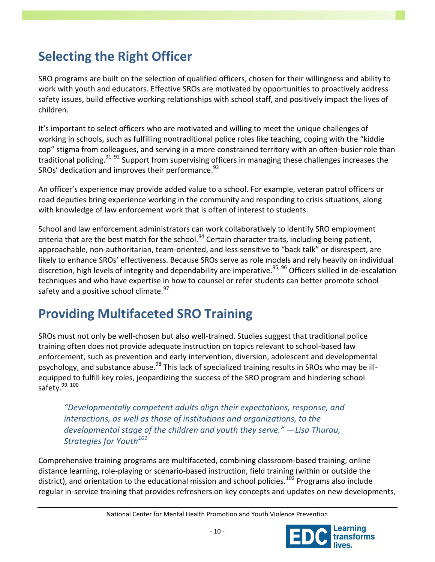# **Selecting the Right Officer**

SRO programs are built on the selection of qualified officers, chosen for their willingness and ability to work with youth and educators. Effective SROs are motivated by opportunities to proactively address safety issues, build effective working relationships with school staff, and positively impact the lives of children.

It's important to select officers who are motivated and willing to meet the unique challenges of working in schools, such as fulfilling nontraditional police roles like teaching, coping with the "kiddie cop" stigma from colleagues, and serving in a more constrained territory with an often-busier role than traditional policing.<sup>91, 92</sup> Support from supervising officers in managing these challenges increases the SROs' dedication and improves their performance.  $93$ 

An officer's experience may provide added value to a school. For example, veteran patrol officers or road deputies bring experience working in the community and responding to crisis situations, along with knowledge of law enforcement work that is often of interest to students.

School and law enforcement administrators can work collaboratively to identify SRO employment criteria that are the best match for the school.<sup>94</sup> Certain character traits, including being patient, approachable, non-authoritarian, team-oriented, and less sensitive to "back talk" or disrespect, are likely to enhance SROs' effectiveness. Because SROs serve as role models and rely heavily on individual discretion, high levels of integrity and dependability are imperative. 95, 96 Officers skilled in de-escalation techniques and who have expertise in how to counsel or refer students can better promote school safety and a positive school climate. $^{97}$ 

# **Providing Multifaceted SRO Training**

SROs must not only be well-chosen but also well-trained. Studies suggest that traditional police training often does not provide adequate instruction on topics relevant to school-based law enforcement, such as prevention and early intervention, diversion, adolescent and developmental psychology, and substance abuse.<sup>98</sup> This lack of specialized training results in SROs who may be illequipped to fulfill key roles, jeopardizing the success of the SRO program and hindering school safety.<sup>99, 100</sup>

*"Developmentally competent adults align their expectations, response, and interactions, as well as those of institutions and organizations, to the developmental stage of the children and youth they serve."* —*Lisa Thurau, Strategies for Youth<sup>101</sup>*

Comprehensive training programs are multifaceted, combining classroom-based training, online distance learning, role-playing or scenario-based instruction, field training (within or outside the district), and orientation to the educational mission and school policies.<sup>102</sup> Programs also include regular in-service training that provides refreshers on key concepts and updates on new developments,

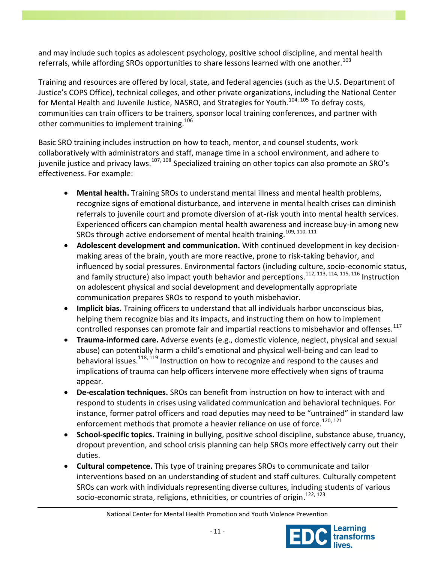and may include such topics as adolescent psychology, positive school discipline, and mental health referrals, while affording SROs opportunities to share lessons learned with one another.<sup>103</sup>

Training and resources are offered by local, state, and federal agencies (such as the U.S. Department of Justice's COPS Office), technical colleges, and other private organizations, including the National Center for Mental Health and Juvenile Justice, NASRO, and Strategies for Youth.<sup>104, 105</sup> To defrav costs. communities can train officers to be trainers, sponsor local training conferences, and partner with other communities to implement training.<sup>106</sup>

Basic SRO training includes instruction on how to teach, mentor, and counsel students, work collaboratively with administrators and staff, manage time in a school environment, and adhere to juvenile justice and privacy laws.<sup>107, 108</sup> Specialized training on other topics can also promote an SRO's effectiveness. For example:

- **Mental health.** Training SROs to understand mental illness and mental health problems, recognize signs of emotional disturbance, and intervene in mental health crises can diminish referrals to juvenile court and promote diversion of at-risk youth into mental health services. Experienced officers can champion mental health awareness and increase buy-in among new SROs through active endorsement of mental health training.<sup>109, 110, 111</sup>
- **Adolescent development and communication.** With continued development in key decisionmaking areas of the brain, youth are more reactive, prone to risk-taking behavior, and influenced by social pressures. Environmental factors (including culture, socio-economic status, and family structure) also impact youth behavior and perceptions.<sup>112, 113, 114, 115, 116</sup> Instruction on adolescent physical and social development and developmentally appropriate communication prepares SROs to respond to youth misbehavior.
- **Implicit bias.** Training officers to understand that all individuals harbor unconscious bias, helping them recognize bias and its impacts, and instructing them on how to implement controlled responses can promote fair and impartial reactions to misbehavior and offenses. $^{117}$
- **Trauma-informed care.** Adverse events (e.g., domestic violence, neglect, physical and sexual abuse) can potentially harm a child's emotional and physical well-being and can lead to behavioral issues.<sup>118, 119</sup> Instruction on how to recognize and respond to the causes and implications of trauma can help officers intervene more effectively when signs of trauma appear.
- **De-escalation techniques.** SROs can benefit from instruction on how to interact with and respond to students in crises using validated communication and behavioral techniques. For instance, former patrol officers and road deputies may need to be "untrained" in standard law enforcement methods that promote a heavier reliance on use of force.<sup>120, 121</sup>
- **School-specific topics.** Training in bullying, positive school discipline, substance abuse, truancy, dropout prevention, and school crisis planning can help SROs more effectively carry out their duties.
- **Cultural competence.** This type of training prepares SROs to communicate and tailor interventions based on an understanding of student and staff cultures. Culturally competent SROs can work with individuals representing diverse cultures, including students of various socio-economic strata, religions, ethnicities, or countries of origin.<sup>122, 123</sup>

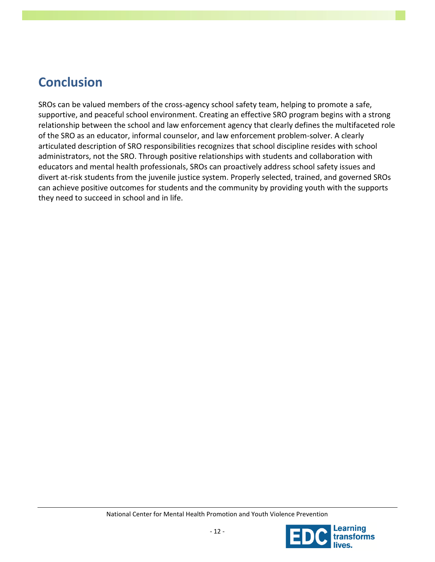# **Conclusion**

SROs can be valued members of the cross-agency school safety team, helping to promote a safe, supportive, and peaceful school environment. Creating an effective SRO program begins with a strong relationship between the school and law enforcement agency that clearly defines the multifaceted role of the SRO as an educator, informal counselor, and law enforcement problem-solver. A clearly articulated description of SRO responsibilities recognizes that school discipline resides with school administrators, not the SRO. Through positive relationships with students and collaboration with educators and mental health professionals, SROs can proactively address school safety issues and divert at-risk students from the juvenile justice system. Properly selected, trained, and governed SROs can achieve positive outcomes for students and the community by providing youth with the supports they need to succeed in school and in life.

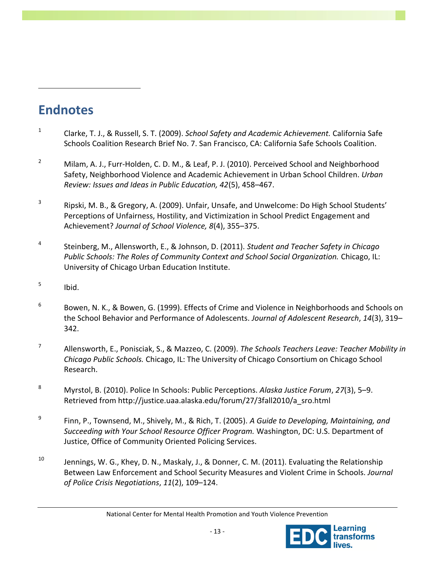# **Endnotes**

 $\overline{a}$ 

- 1 Clarke, T. J., & Russell, S. T. (2009). *School Safety and Academic Achievement.* California Safe Schools Coalition Research Brief No. 7. San Francisco, CA: California Safe Schools Coalition.
- <sup>2</sup> Milam, A. J., Furr-Holden, C. D. M., & Leaf, P. J. (2010). Perceived School and Neighborhood Safety, Neighborhood Violence and Academic Achievement in Urban School Children. *Urban Review: Issues and Ideas in Public Education, 42*(5), 458–467.
- 3 Ripski, M. B., & Gregory, A. (2009). Unfair, Unsafe, and Unwelcome: Do High School Students' Perceptions of Unfairness, Hostility, and Victimization in School Predict Engagement and Achievement? *Journal of School Violence, 8*(4), 355–375.
- 4 Steinberg, M., Allensworth, E., & Johnson, D. (2011). *Student and Teacher Safety in Chicago Public Schools: The Roles of Community Context and School Social Organization.* Chicago, IL: University of Chicago Urban Education Institute.
- 5 Ibid.
- 6 Bowen, N. K., & Bowen, G. (1999). Effects of Crime and Violence in Neighborhoods and Schools on the School Behavior and Performance of Adolescents. *Journal of Adolescent Research*, *14*(3), 319– 342.
- 7 Allensworth, E., Ponisciak, S., & Mazzeo, C. (2009). *The Schools Teachers Leave: Teacher Mobility in Chicago Public Schools.* Chicago, IL: The University of Chicago Consortium on Chicago School Research.
- <sup>8</sup> Myrstol, B. (2010). Police In Schools: Public Perceptions. *Alaska Justice Forum*, *27*(3), 5–9. Retrieved from http://justice.uaa.alaska.edu/forum/27/3fall2010/a\_sro.html
- 9 Finn, P., Townsend, M., Shively, M., & Rich, T. (2005). *A Guide to Developing, Maintaining, and Succeeding with Your School Resource Officer Program.* Washington, DC: U.S. Department of Justice, Office of Community Oriented Policing Services.
- <sup>10</sup> Jennings, W. G., Khey, D. N., Maskaly, J., & Donner, C. M. (2011). Evaluating the Relationship Between Law Enforcement and School Security Measures and Violent Crime in Schools. *Journal of Police Crisis Negotiations*, *11*(2), 109–124.

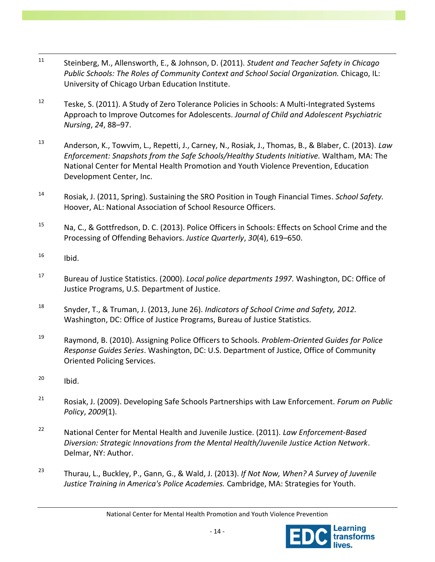- $\overline{a}$ <sup>11</sup> Steinberg, M., Allensworth, E., & Johnson, D. (2011). *Student and Teacher Safety in Chicago Public Schools: The Roles of Community Context and School Social Organization.* Chicago, IL: University of Chicago Urban Education Institute.
- $12$  Teske, S. (2011). A Study of Zero Tolerance Policies in Schools: A Multi-Integrated Systems Approach to Improve Outcomes for Adolescents. *Journal of Child and Adolescent Psychiatric Nursing*, *24*, 88–97.
- <sup>13</sup> Anderson, K., Towvim, L., Repetti, J., Carney, N., Rosiak, J., Thomas, B., & Blaber, C. (2013). *Law Enforcement: Snapshots from the Safe Schools/Healthy Students Initiative.* Waltham, MA: The National Center for Mental Health Promotion and Youth Violence Prevention, Education Development Center, Inc.
- <sup>14</sup> Rosiak, J. (2011, Spring). Sustaining the SRO Position in Tough Financial Times. *School Safety.* Hoover, AL: National Association of School Resource Officers.
- <sup>15</sup> Na, C., & Gottfredson, D. C. (2013). Police Officers in Schools: Effects on School Crime and the Processing of Offending Behaviors. *Justice Quarterly*, *30*(4), 619–650.
- $^{16}$  Ibid.
- <sup>17</sup> Bureau of Justice Statistics. (2000). *Local police departments 1997.* Washington, DC: Office of Justice Programs, U.S. Department of Justice.
- <sup>18</sup> Snyder, T., & Truman, J. (2013, June 26). *Indicators of School Crime and Safety, 2012.* Washington, DC: Office of Justice Programs, Bureau of Justice Statistics.
- <sup>19</sup> Raymond, B. (2010). Assigning Police Officers to Schools. *Problem-Oriented Guides for Police Response Guides Series*. Washington, DC: U.S. Department of Justice, Office of Community Oriented Policing Services.
- $^{20}$  Ibid.
- <sup>21</sup> Rosiak, J. (2009). Developing Safe Schools Partnerships with Law Enforcement. *Forum on Public Policy*, *2009*(1).
- <sup>22</sup> National Center for Mental Health and Juvenile Justice. (2011). *Law Enforcement-Based Diversion: Strategic Innovations from the Mental Health/Juvenile Justice Action Network*. Delmar, NY: Author.
- <sup>23</sup> Thurau, L., Buckley, P., Gann, G., & Wald, J. (2013). *If Not Now, When? A Survey of Juvenile Justice Training in America's Police Academies.* Cambridge, MA: Strategies for Youth.

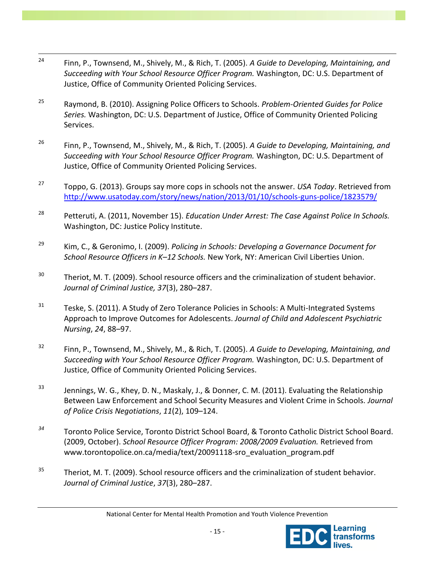- $\overline{a}$ <sup>24</sup> Finn, P., Townsend, M., Shively, M., & Rich, T. (2005). *A Guide to Developing, Maintaining, and Succeeding with Your School Resource Officer Program.* Washington, DC: U.S. Department of Justice, Office of Community Oriented Policing Services.
- <sup>25</sup> Raymond, B. (2010). Assigning Police Officers to Schools. *Problem-Oriented Guides for Police Series.* Washington, DC: U.S. Department of Justice, Office of Community Oriented Policing Services.
- <sup>26</sup> Finn, P., Townsend, M., Shively, M., & Rich, T. (2005). *A Guide to Developing, Maintaining, and Succeeding with Your School Resource Officer Program.* Washington, DC: U.S. Department of Justice, Office of Community Oriented Policing Services.
- <sup>27</sup> Toppo, G. (2013). Groups say more cops in schools not the answer. *USA Today*. Retrieved from <http://www.usatoday.com/story/news/nation/2013/01/10/schools-guns-police/1823579/>
- <sup>28</sup> Petteruti, A. (2011, November 15). *Education Under Arrest: The Case Against Police In Schools.*  Washington, DC: Justice Policy Institute.
- <sup>29</sup> Kim, C., & Geronimo, I. (2009). *Policing in Schools: Developing a Governance Document for School Resource Officers in K–12 Schools.* New York, NY: American Civil Liberties Union.
- $30$  Theriot, M. T. (2009). School resource officers and the criminalization of student behavior. *Journal of Criminal Justice, 37*(3), 280–287.
- $31$  Teske, S. (2011). A Study of Zero Tolerance Policies in Schools: A Multi-Integrated Systems Approach to Improve Outcomes for Adolescents. *Journal of Child and Adolescent Psychiatric Nursing*, *24*, 88–97.
- <sup>32</sup> Finn, P., Townsend, M., Shively, M., & Rich, T. (2005). *A Guide to Developing, Maintaining, and Succeeding with Your School Resource Officer Program.* Washington, DC: U.S. Department of Justice, Office of Community Oriented Policing Services.
- $33$  Jennings, W. G., Khey, D. N., Maskaly, J., & Donner, C. M. (2011). Evaluating the Relationship Between Law Enforcement and School Security Measures and Violent Crime in Schools. *Journal of Police Crisis Negotiations*, *11*(2), 109–124.
- *<sup>34</sup>* Toronto Police Service, Toronto District School Board, & Toronto Catholic District School Board. (2009, October). *School Resource Officer Program: 2008/2009 Evaluation.* Retrieved from www.torontopolice.on.ca/media/text/20091118-sro\_evaluation\_program.pdf
- $35$  Theriot, M. T. (2009). School resource officers and the criminalization of student behavior. *Journal of Criminal Justice*, *37*(3), 280–287.

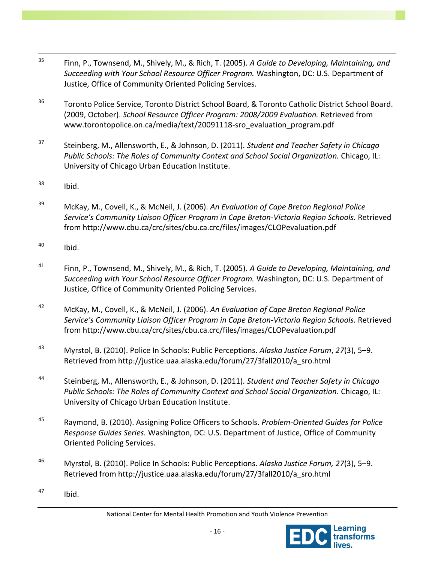- $\overline{a}$ <sup>35</sup> Finn, P., Townsend, M., Shively, M., & Rich, T. (2005). *A Guide to Developing, Maintaining, and Succeeding with Your School Resource Officer Program.* Washington, DC: U.S. Department of Justice, Office of Community Oriented Policing Services.
- <sup>36</sup> Toronto Police Service, Toronto District School Board, & Toronto Catholic District School Board. (2009, October). *School Resource Officer Program: 2008/2009 Evaluation.* Retrieved from www.torontopolice.on.ca/media/text/20091118-sro\_evaluation\_program.pdf
- <sup>37</sup> Steinberg, M., Allensworth, E., & Johnson, D. (2011). *Student and Teacher Safety in Chicago*  Public Schools: The Roles of Community Context and School Social Organization. Chicago, IL: University of Chicago Urban Education Institute.
- $38$  Ibid.
- <sup>39</sup> McKay, M., Covell, K., & McNeil, J. (2006). *An Evaluation of Cape Breton Regional Police Service's Community Liaison Officer Program in Cape Breton-Victoria Region Schools.* Retrieved from http://www.cbu.ca/crc/sites/cbu.ca.crc/files/images/CLOPevaluation.pdf
- $^{40}$  Ibid.
- <sup>41</sup> Finn, P., Townsend, M., Shively, M., & Rich, T. (2005). *A Guide to Developing, Maintaining, and Succeeding with Your School Resource Officer Program.* Washington, DC: U.S. Department of Justice, Office of Community Oriented Policing Services.
- <sup>42</sup> McKay, M., Covell, K., & McNeil, J. (2006). *An Evaluation of Cape Breton Regional Police Service's Community Liaison Officer Program in Cape Breton-Victoria Region Schools.* Retrieved from http://www.cbu.ca/crc/sites/cbu.ca.crc/files/images/CLOPevaluation.pdf
- <sup>43</sup> Myrstol, B. (2010). Police In Schools: Public Perceptions. *Alaska Justice Forum*, *27*(3), 5–9. Retrieved from http://justice.uaa.alaska.edu/forum/27/3fall2010/a\_sro.html
- <sup>44</sup> Steinberg, M., Allensworth, E., & Johnson, D. (2011). *Student and Teacher Safety in Chicago Public Schools: The Roles of Community Context and School Social Organization.* Chicago, IL: University of Chicago Urban Education Institute.
- <sup>45</sup> Raymond, B. (2010). Assigning Police Officers to Schools. *Problem-Oriented Guides for Police Response Guides Series.* Washington, DC: U.S. Department of Justice, Office of Community Oriented Policing Services.
- <sup>46</sup> Myrstol, B. (2010). Police In Schools: Public Perceptions. *Alaska Justice Forum, 27*(3), 5–9. Retrieved from http://justice.uaa.alaska.edu/forum/27/3fall2010/a\_sro.html
- <sup>47</sup> Ibid.

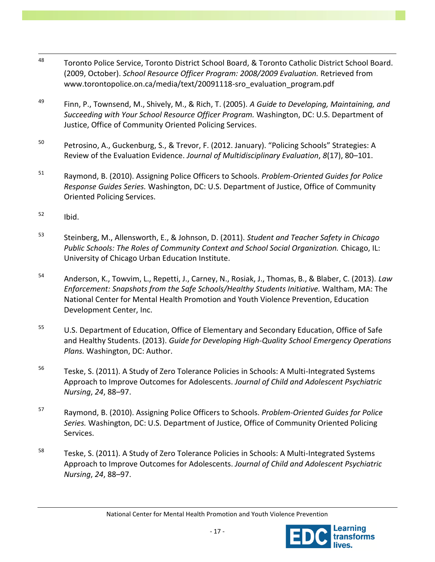- $\overline{a}$ 48 Toronto Police Service, Toronto District School Board, & Toronto Catholic District School Board. (2009, October). *School Resource Officer Program: 2008/2009 Evaluation.* Retrieved from www.torontopolice.on.ca/media/text/20091118-sro\_evaluation\_program.pdf
- <sup>49</sup> Finn, P., Townsend, M., Shively, M., & Rich, T. (2005). *A Guide to Developing, Maintaining, and Succeeding with Your School Resource Officer Program.* Washington, DC: U.S. Department of Justice, Office of Community Oriented Policing Services.
- <sup>50</sup> Petrosino, A., Guckenburg, S., & Trevor, F. (2012. January). "Policing Schools" Strategies: A Review of the Evaluation Evidence. *Journal of Multidisciplinary Evaluation*, *8*(17), 80–101.
- <sup>51</sup> Raymond, B. (2010). Assigning Police Officers to Schools. *Problem-Oriented Guides for Police Response Guides Series.* Washington, DC: U.S. Department of Justice, Office of Community Oriented Policing Services.
- $52$  Ibid.
- <sup>53</sup> Steinberg, M., Allensworth, E., & Johnson, D. (2011). *Student and Teacher Safety in Chicago*  Public Schools: The Roles of Community Context and School Social Organization. Chicago, IL: University of Chicago Urban Education Institute.
- <sup>54</sup> Anderson, K., Towvim, L., Repetti, J., Carney, N., Rosiak, J., Thomas, B., & Blaber, C. (2013). *Law Enforcement: Snapshots from the Safe Schools/Healthy Students Initiative.* Waltham, MA: The National Center for Mental Health Promotion and Youth Violence Prevention, Education Development Center, Inc.
- <sup>55</sup> U.S. Department of Education, Office of Elementary and Secondary Education, Office of Safe and Healthy Students. (2013). *Guide for Developing High-Quality School Emergency Operations Plans.* Washington, DC: Author.
- <sup>56</sup> Teske, S. (2011). A Study of Zero Tolerance Policies in Schools: A Multi-Integrated Systems Approach to Improve Outcomes for Adolescents. *Journal of Child and Adolescent Psychiatric Nursing*, *24*, 88–97.
- <sup>57</sup> Raymond, B. (2010). Assigning Police Officers to Schools. *Problem-Oriented Guides for Police Series.* Washington, DC: U.S. Department of Justice, Office of Community Oriented Policing Services.
- $58$  Teske, S. (2011). A Study of Zero Tolerance Policies in Schools: A Multi-Integrated Systems Approach to Improve Outcomes for Adolescents. *Journal of Child and Adolescent Psychiatric Nursing*, *24*, 88–97.

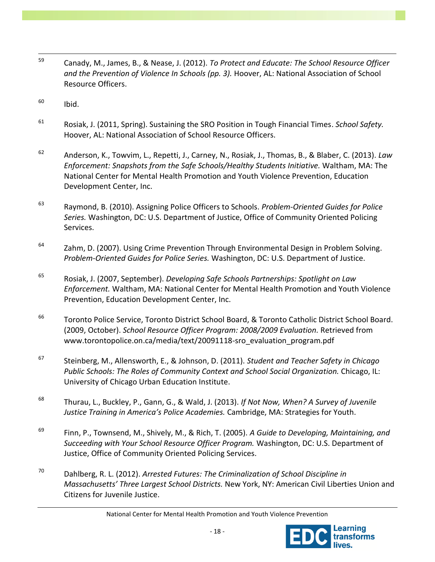- $\overline{a}$ <sup>59</sup> Canady, M., James, B., & Nease, J. (2012). *To Protect and Educate: The School Resource Officer and the Prevention of Violence In Schools (pp. 3).* Hoover, AL: National Association of School Resource Officers.
- $^{60}$  Ibid.
- <sup>61</sup> Rosiak, J. (2011, Spring). Sustaining the SRO Position in Tough Financial Times. *School Safety.* Hoover, AL: National Association of School Resource Officers.
- <sup>62</sup> Anderson, K., Towvim, L., Repetti, J., Carney, N., Rosiak, J., Thomas, B., & Blaber, C. (2013). *Law Enforcement: Snapshots from the Safe Schools/Healthy Students Initiative.* Waltham, MA: The National Center for Mental Health Promotion and Youth Violence Prevention, Education Development Center, Inc.
- <sup>63</sup> Raymond, B. (2010). Assigning Police Officers to Schools. *Problem-Oriented Guides for Police Series.* Washington, DC: U.S. Department of Justice, Office of Community Oriented Policing Services.
- $64$  Zahm, D. (2007). Using Crime Prevention Through Environmental Design in Problem Solving. *Problem-Oriented Guides for Police Series.* Washington, DC: U.S. Department of Justice.
- <sup>65</sup> Rosiak, J. (2007, September). *Developing Safe Schools Partnerships: Spotlight on Law Enforcement.* Waltham, MA: National Center for Mental Health Promotion and Youth Violence Prevention, Education Development Center, Inc.
- <sup>66</sup> Toronto Police Service, Toronto District School Board, & Toronto Catholic District School Board. (2009, October). *School Resource Officer Program: 2008/2009 Evaluation.* Retrieved from www.torontopolice.on.ca/media/text/20091118-sro\_evaluation\_program.pdf
- <sup>67</sup> Steinberg, M., Allensworth, E., & Johnson, D. (2011). *Student and Teacher Safety in Chicago Public Schools: The Roles of Community Context and School Social Organization.* Chicago, IL: University of Chicago Urban Education Institute.
- <sup>68</sup> Thurau, L., Buckley, P., Gann, G., & Wald, J. (2013). *If Not Now, When? A Survey of Juvenile Justice Training in America's Police Academies.* Cambridge, MA: Strategies for Youth.
- <sup>69</sup> Finn, P., Townsend, M., Shively, M., & Rich, T. (2005). *A Guide to Developing, Maintaining, and Succeeding with Your School Resource Officer Program.* Washington, DC: U.S. Department of Justice, Office of Community Oriented Policing Services.
- <sup>70</sup> Dahlberg, R. L. (2012). *Arrested Futures: The Criminalization of School Discipline in Massachusetts' Three Largest School Districts.* New York, NY: American Civil Liberties Union and Citizens for Juvenile Justice.

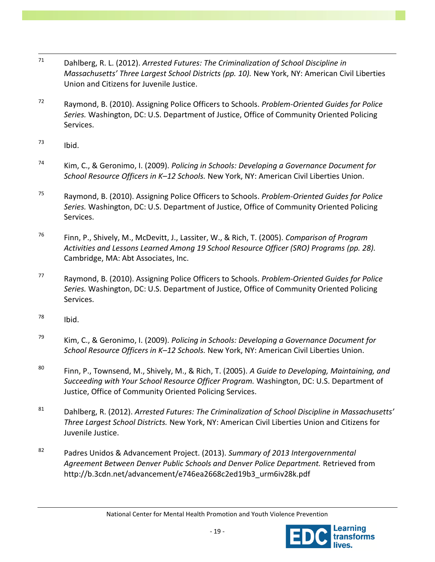- 71 <sup>71</sup> Dahlberg, R. L. (2012). *Arrested Futures: The Criminalization of School Discipline in Massachusetts' Three Largest School Districts (pp. 10).* New York, NY: American Civil Liberties Union and Citizens for Juvenile Justice.
- <sup>72</sup> Raymond, B. (2010). Assigning Police Officers to Schools. *Problem-Oriented Guides for Police Series.* Washington, DC: U.S. Department of Justice, Office of Community Oriented Policing Services.
- $^{73}$  Ibid.
- <sup>74</sup> Kim, C., & Geronimo, I. (2009). *Policing in Schools: Developing a Governance Document for School Resource Officers in K–12 Schools.* New York, NY: American Civil Liberties Union.
- <sup>75</sup> Raymond, B. (2010). Assigning Police Officers to Schools. *Problem-Oriented Guides for Police Series.* Washington, DC: U.S. Department of Justice, Office of Community Oriented Policing Services.
- <sup>76</sup> Finn, P., Shively, M., McDevitt, J., Lassiter, W., & Rich, T. (2005). *Comparison of Program Activities and Lessons Learned Among 19 School Resource Officer (SRO) Programs (pp. 28).* Cambridge, MA: Abt Associates, Inc.
- <sup>77</sup> Raymond, B. (2010). Assigning Police Officers to Schools. *Problem-Oriented Guides for Police Series.* Washington, DC: U.S. Department of Justice, Office of Community Oriented Policing Services.
- $78$  Ibid.
- <sup>79</sup> Kim, C., & Geronimo, I. (2009). *Policing in Schools: Developing a Governance Document for School Resource Officers in K–12 Schools.* New York, NY: American Civil Liberties Union.
- <sup>80</sup> Finn, P., Townsend, M., Shively, M., & Rich, T. (2005). *A Guide to Developing, Maintaining, and Succeeding with Your School Resource Officer Program.* Washington, DC: U.S. Department of Justice, Office of Community Oriented Policing Services.
- <sup>81</sup> Dahlberg, R. (2012). *Arrested Futures: The Criminalization of School Discipline in Massachusetts' Three Largest School Districts.* New York, NY: American Civil Liberties Union and Citizens for Juvenile Justice.
- <sup>82</sup> Padres Unidos & Advancement Project. (2013). *Summary of 2013 Intergovernmental Agreement Between Denver Public Schools and Denver Police Department.* Retrieved from http://b.3cdn.net/advancement/e746ea2668c2ed19b3\_urm6iv28k.pdf

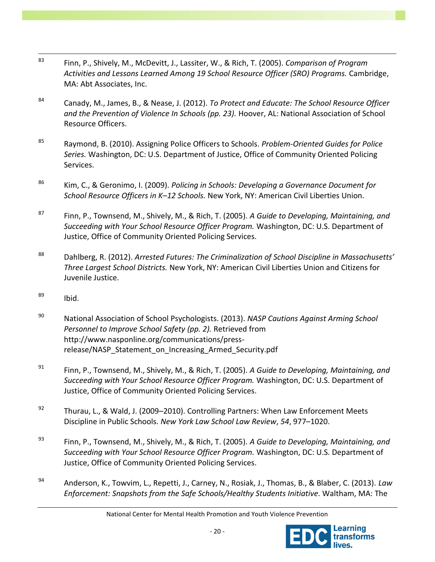- $\overline{a}$ <sup>83</sup> Finn, P., Shively, M., McDevitt, J., Lassiter, W., & Rich, T. (2005). *Comparison of Program Activities and Lessons Learned Among 19 School Resource Officer (SRO) Programs.* Cambridge, MA: Abt Associates, Inc.
- <sup>84</sup> Canady, M., James, B., & Nease, J. (2012). *To Protect and Educate: The School Resource Officer and the Prevention of Violence In Schools (pp. 23).* Hoover, AL: National Association of School Resource Officers.
- <sup>85</sup> Raymond, B. (2010). Assigning Police Officers to Schools. *Problem-Oriented Guides for Police Series.* Washington, DC: U.S. Department of Justice, Office of Community Oriented Policing Services.
- <sup>86</sup> Kim, C., & Geronimo, I. (2009). *Policing in Schools: Developing a Governance Document for School Resource Officers in K–12 Schools.* New York, NY: American Civil Liberties Union.
- <sup>87</sup> Finn, P., Townsend, M., Shively, M., & Rich, T. (2005). *A Guide to Developing, Maintaining, and Succeeding with Your School Resource Officer Program.* Washington, DC: U.S. Department of Justice, Office of Community Oriented Policing Services.
- <sup>88</sup> Dahlberg, R. (2012). *Arrested Futures: The Criminalization of School Discipline in Massachusetts' Three Largest School Districts.* New York, NY: American Civil Liberties Union and Citizens for Juvenile Justice.
- $^{89}$  Ibid.
- <sup>90</sup> National Association of School Psychologists. (2013). *NASP Cautions Against Arming School Personnel to Improve School Safety (pp. 2).* Retrieved from http://www.nasponline.org/communications/pressrelease/NASP Statement on Increasing Armed Security.pdf
- <sup>91</sup> Finn, P., Townsend, M., Shively, M., & Rich, T. (2005). *A Guide to Developing, Maintaining, and Succeeding with Your School Resource Officer Program.* Washington, DC: U.S. Department of Justice, Office of Community Oriented Policing Services.
- <sup>92</sup> Thurau, L., & Wald, J. (2009–2010). Controlling Partners: When Law Enforcement Meets Discipline in Public Schools. *New York Law School Law Review*, *54*, 977–1020.
- <sup>93</sup> Finn, P., Townsend, M., Shively, M., & Rich, T. (2005). *A Guide to Developing, Maintaining, and Succeeding with Your School Resource Officer Program.* Washington, DC: U.S. Department of Justice, Office of Community Oriented Policing Services.
- <sup>94</sup> Anderson, K., Towvim, L., Repetti, J., Carney, N., Rosiak, J., Thomas, B., & Blaber, C. (2013). *Law Enforcement: Snapshots from the Safe Schools/Healthy Students Initiative.* Waltham, MA: The

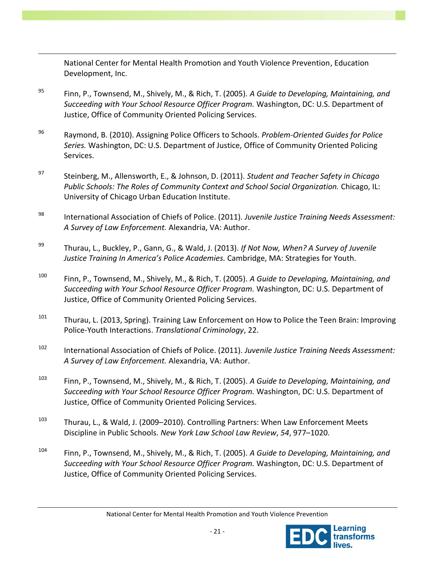National Center for Mental Health Promotion and Youth Violence Prevention, Education Development, Inc.

 $\overline{a}$ 

- <sup>95</sup> Finn, P., Townsend, M., Shively, M., & Rich, T. (2005). *A Guide to Developing, Maintaining, and Succeeding with Your School Resource Officer Program.* Washington, DC: U.S. Department of Justice, Office of Community Oriented Policing Services.
- <sup>96</sup> Raymond, B. (2010). Assigning Police Officers to Schools. *Problem-Oriented Guides for Police Series.* Washington, DC: U.S. Department of Justice, Office of Community Oriented Policing Services.
- <sup>97</sup> Steinberg, M., Allensworth, E., & Johnson, D. (2011). *Student and Teacher Safety in Chicago Public Schools: The Roles of Community Context and School Social Organization.* Chicago, IL: University of Chicago Urban Education Institute.
- <sup>98</sup> International Association of Chiefs of Police. (2011). *Juvenile Justice Training Needs Assessment: A Survey of Law Enforcement.* Alexandria, VA: Author.
- <sup>99</sup> Thurau, L., Buckley, P., Gann, G., & Wald, J. (2013). *If Not Now, When? A Survey of Juvenile Justice Training In America's Police Academies.* Cambridge, MA: Strategies for Youth.
- <sup>100</sup> Finn, P., Townsend, M., Shively, M., & Rich, T. (2005). *A Guide to Developing, Maintaining, and Succeeding with Your School Resource Officer Program.* Washington, DC: U.S. Department of Justice, Office of Community Oriented Policing Services.
- <sup>101</sup> Thurau, L. (2013, Spring). Training Law Enforcement on How to Police the Teen Brain: Improving Police-Youth Interactions. *Translational Criminology*, 22.
- <sup>102</sup> International Association of Chiefs of Police. (2011). *Juvenile Justice Training Needs Assessment: A Survey of Law Enforcement.* Alexandria, VA: Author.
- <sup>103</sup> Finn, P., Townsend, M., Shively, M., & Rich, T. (2005). *A Guide to Developing, Maintaining, and Succeeding with Your School Resource Officer Program.* Washington, DC: U.S. Department of Justice, Office of Community Oriented Policing Services.
- 103 Thurau, L., & Wald, J. (2009–2010). Controlling Partners: When Law Enforcement Meets Discipline in Public Schools. *New York Law School Law Review*, *54*, 977–1020.
- <sup>104</sup> Finn, P., Townsend, M., Shively, M., & Rich, T. (2005). *A Guide to Developing, Maintaining, and Succeeding with Your School Resource Officer Program.* Washington, DC: U.S. Department of Justice, Office of Community Oriented Policing Services.

National Center for Mental Health Promotion and Youth Violence Prevention

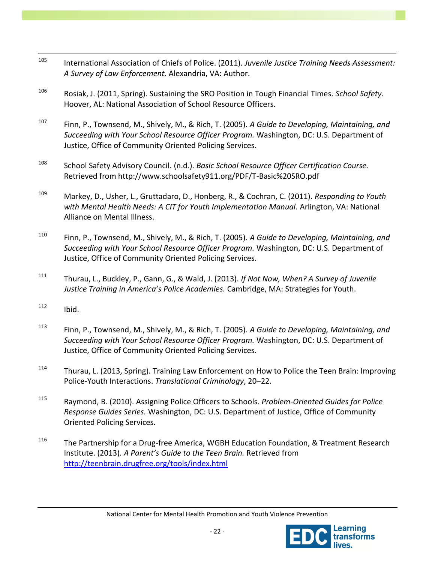- $\overline{a}$ <sup>105</sup> International Association of Chiefs of Police. (2011). *Juvenile Justice Training Needs Assessment: A Survey of Law Enforcement.* Alexandria, VA: Author.
- <sup>106</sup> Rosiak, J. (2011, Spring). Sustaining the SRO Position in Tough Financial Times. *School Safety.*  Hoover, AL: National Association of School Resource Officers.
- <sup>107</sup> Finn, P., Townsend, M., Shively, M., & Rich, T. (2005). *A Guide to Developing, Maintaining, and Succeeding with Your School Resource Officer Program.* Washington, DC: U.S. Department of Justice, Office of Community Oriented Policing Services.
- <sup>108</sup> School Safety Advisory Council. (n.d.). *Basic School Resource Officer Certification Course.* Retrieved from http://www.schoolsafety911.org/PDF/T-Basic%20SRO.pdf
- <sup>109</sup> Markey, D., Usher, L., Gruttadaro, D., Honberg, R., & Cochran, C. (2011). *Responding to Youth*  with Mental Health Needs: A CIT for Youth Implementation Manual. Arlington, VA: National Alliance on Mental Illness.
- <sup>110</sup> Finn, P., Townsend, M., Shively, M., & Rich, T. (2005). *A Guide to Developing, Maintaining, and Succeeding with Your School Resource Officer Program.* Washington, DC: U.S. Department of Justice, Office of Community Oriented Policing Services.
- <sup>111</sup> Thurau, L., Buckley, P., Gann, G., & Wald, J. (2013). *If Not Now, When? A Survey of Juvenile Justice Training in America's Police Academies.* Cambridge, MA: Strategies for Youth.
- $112$  Ibid.
- <sup>113</sup> Finn, P., Townsend, M., Shively, M., & Rich, T. (2005). *A Guide to Developing, Maintaining, and Succeeding with Your School Resource Officer Program.* Washington, DC: U.S. Department of Justice, Office of Community Oriented Policing Services.
- <sup>114</sup> Thurau, L. (2013, Spring). Training Law Enforcement on How to Police the Teen Brain: Improving Police-Youth Interactions. *Translational Criminology*, 20–22.
- <sup>115</sup> Raymond, B. (2010). Assigning Police Officers to Schools. *Problem-Oriented Guides for Police Response Guides Series.* Washington, DC: U.S. Department of Justice, Office of Community Oriented Policing Services.
- <sup>116</sup> The Partnership for a Drug-free America, WGBH Education Foundation, & Treatment Research Institute. (2013). *A Parent's Guide to the Teen Brain.* Retrieved from <http://teenbrain.drugfree.org/tools/index.html>